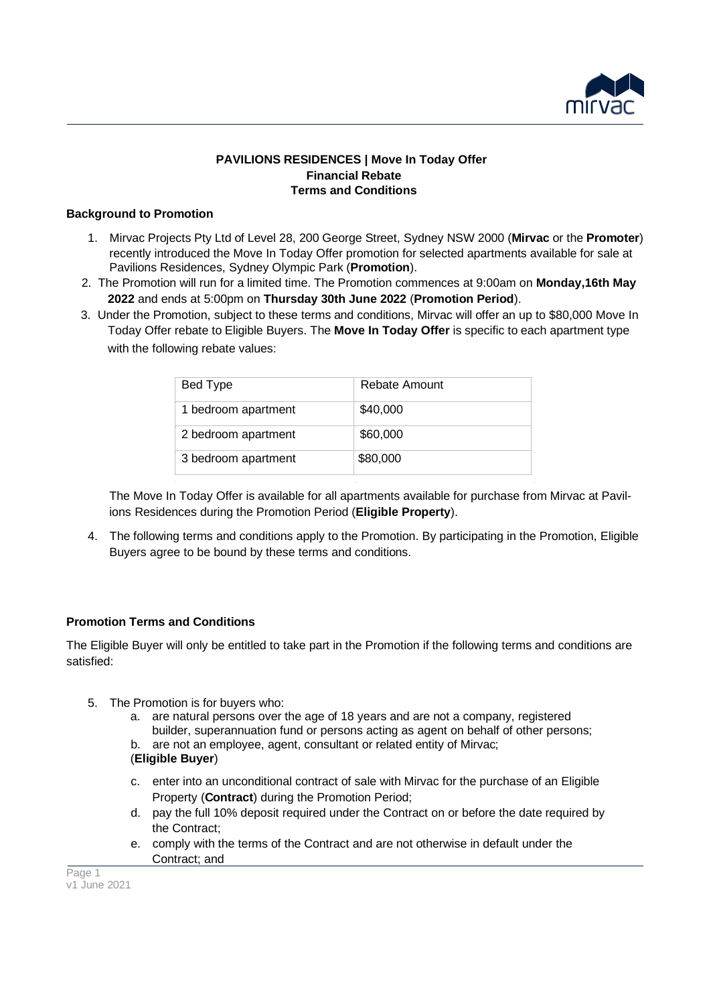

## **PAVILIONS RESIDENCES | Move In Today Offer Financial Rebate Terms and Conditions**

## **Background to Promotion**

- 1. Mirvac Projects Pty Ltd of Level 28, 200 George Street, Sydney NSW 2000 (**Mirvac** or the **Promoter**) recently introduced the Move In Today Offer promotion for selected apartments available for sale at Pavilions Residences, Sydney Olympic Park (**Promotion**).
- 2. The Promotion will run for a limited time. The Promotion commences at 9:00am on **Monday,16th May 2022** and ends at 5:00pm on **Thursday 30th June 2022** (**Promotion Period**).
- 3. Under the Promotion, subject to these terms and conditions, Mirvac will offer an up to \$80,000 Move In Today Offer rebate to Eligible Buyers. The **Move In Today Offer** is specific to each apartment type with the following rebate values:

| Bed Type            | Rebate Amount |
|---------------------|---------------|
| 1 bedroom apartment | \$40,000      |
| 2 bedroom apartment | \$60,000      |
| 3 bedroom apartment | \$80,000      |

The Move In Today Offer is available for all apartments available for purchase from Mirvac at Pavilions Residences during the Promotion Period (**Eligible Property**).

4. The following terms and conditions apply to the Promotion. By participating in the Promotion, Eligible Buyers agree to be bound by these terms and conditions.

# **Promotion Terms and Conditions**

The Eligible Buyer will only be entitled to take part in the Promotion if the following terms and conditions are satisfied:

- 5. The Promotion is for buyers who:
	- a. are natural persons over the age of 18 years and are not a company, registered builder, superannuation fund or persons acting as agent on behalf of other persons;
	- b. are not an employee, agent, consultant or related entity of Mirvac;

# (**Eligible Buyer**)

- c. enter into an unconditional contract of sale with Mirvac for the purchase of an Eligible Property (**Contract**) during the Promotion Period;
- d. pay the full 10% deposit required under the Contract on or before the date required by the Contract;
- e. comply with the terms of the Contract and are not otherwise in default under the Contract; and

Page 1 v1 June 2021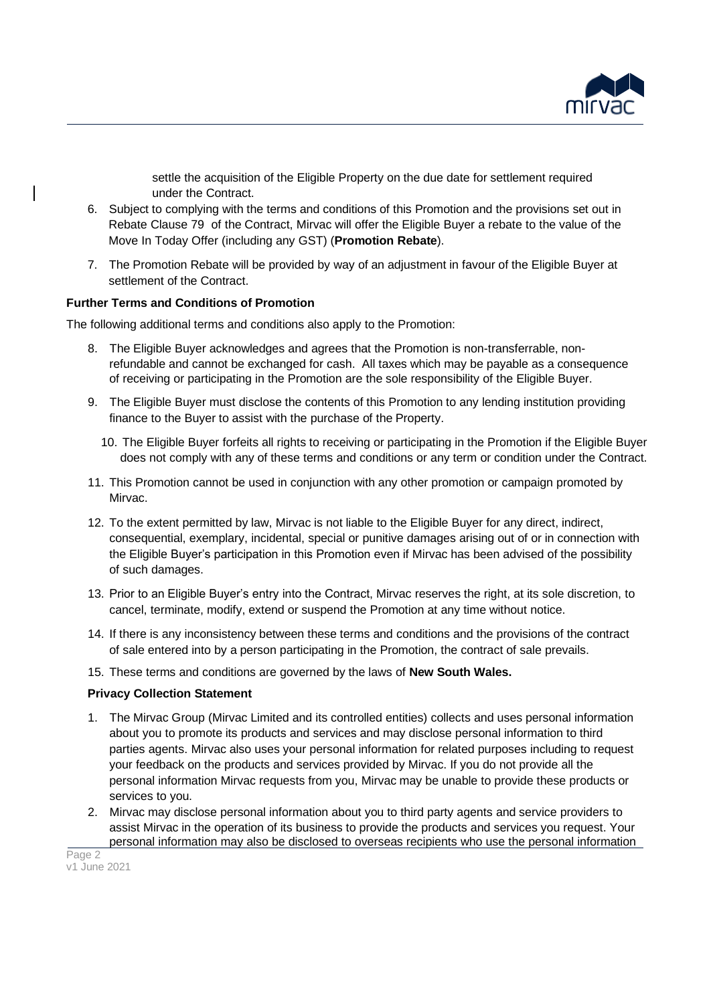

settle the acquisition of the Eligible Property on the due date for settlement required under the Contract.

- 6. Subject to complying with the terms and conditions of this Promotion and the provisions set out in Rebate Clause 79 of the Contract, Mirvac will offer the Eligible Buyer a rebate to the value of the Move In Today Offer (including any GST) (**Promotion Rebate**).
- 7. The Promotion Rebate will be provided by way of an adjustment in favour of the Eligible Buyer at settlement of the Contract.

#### **Further Terms and Conditions of Promotion**

The following additional terms and conditions also apply to the Promotion:

- 8. The Eligible Buyer acknowledges and agrees that the Promotion is non-transferrable, nonrefundable and cannot be exchanged for cash. All taxes which may be payable as a consequence of receiving or participating in the Promotion are the sole responsibility of the Eligible Buyer.
- 9. The Eligible Buyer must disclose the contents of this Promotion to any lending institution providing finance to the Buyer to assist with the purchase of the Property.
	- 10. The Eligible Buyer forfeits all rights to receiving or participating in the Promotion if the Eligible Buyer does not comply with any of these terms and conditions or any term or condition under the Contract.
- 11. This Promotion cannot be used in conjunction with any other promotion or campaign promoted by Mirvac.
- 12. To the extent permitted by law, Mirvac is not liable to the Eligible Buyer for any direct, indirect, consequential, exemplary, incidental, special or punitive damages arising out of or in connection with the Eligible Buyer's participation in this Promotion even if Mirvac has been advised of the possibility of such damages.
- 13. Prior to an Eligible Buyer's entry into the Contract, Mirvac reserves the right, at its sole discretion, to cancel, terminate, modify, extend or suspend the Promotion at any time without notice.
- 14. If there is any inconsistency between these terms and conditions and the provisions of the contract of sale entered into by a person participating in the Promotion, the contract of sale prevails.
- 15. These terms and conditions are governed by the laws of **New South Wales.**

#### **Privacy Collection Statement**

- 1. The Mirvac Group (Mirvac Limited and its controlled entities) collects and uses personal information about you to promote its products and services and may disclose personal information to third parties agents. Mirvac also uses your personal information for related purposes including to request your feedback on the products and services provided by Mirvac. If you do not provide all the personal information Mirvac requests from you, Mirvac may be unable to provide these products or services to you.
- 2. Mirvac may disclose personal information about you to third party agents and service providers to assist Mirvac in the operation of its business to provide the products and services you request. Your personal information may also be disclosed to overseas recipients who use the personal information